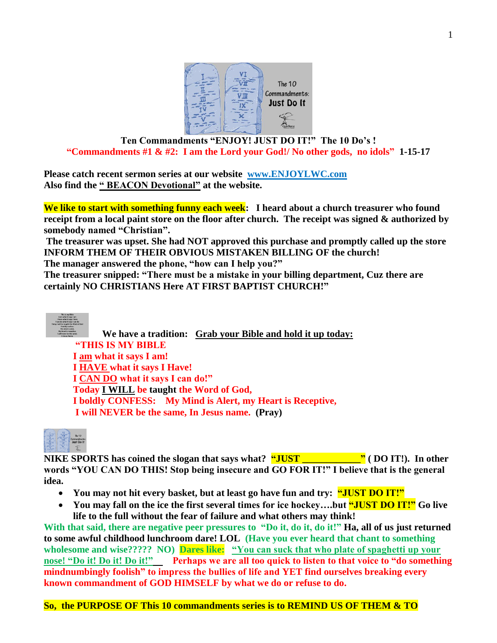

### **Ten Commandments "ENJOY! JUST DO IT!" The 10 Do's ! "Commandments #1 & #2: I am the Lord your God!/ No other gods, no idols" 1-15-17**

**Please catch recent sermon series at our website [www.ENJOYLWC.com](http://www.enjoylwc.com/)  Also find the " BEACON Devotional" at the website.**

**We like to start with something funny each week: I heard about a church treasurer who found receipt from a local paint store on the floor after church. The receipt was signed & authorized by somebody named "Christian".** 

**The treasurer was upset. She had NOT approved this purchase and promptly called up the store INFORM THEM OF THEIR OBVIOUS MISTAKEN BILLING OF the church!**

**The manager answered the phone, "how can I help you?"** 

**The treasurer snipped: "There must be a mistake in your billing department, Cuz there are certainly NO CHRISTIANS Here AT FIRST BAPTIST CHURCH!"** 



**We have a tradition: Grab your Bible and hold it up today: "THIS IS MY BIBLE I am what it says I am! I HAVE what it says I Have! I CAN DO what it says I can do!" Today I WILL be taught the Word of God, I boldly CONFESS: My Mind is Alert, my Heart is Receptive, I will NEVER be the same, In Jesus name. (Pray)**



**NIKE SPORTS has coined the slogan that says what? "JUST \_\_\_\_\_\_\_\_\_\_\_\_" ( DO IT!). In other words "YOU CAN DO THIS! Stop being insecure and GO FOR IT!" I believe that is the general idea.** 

- You may not hit every basket, but at least go have fun and try: **"JUST DO IT!"**
- **You may fall on the ice the first several times for ice hockey….but "JUST DO IT!" Go live life to the full without the fear of failure and what others may think!**

With that said, there are negative peer pressures to "Do it, do it, do it!" **Ha, all of us just returned to some awful childhood lunchroom dare! LOL (Have you ever heard that chant to something wholesome and wise????? NO) Dares like: "You can suck that who plate of spaghetti up your nose!** "Do it! Do it! Do it!" Perhaps we are all too quick to listen to that voice to "do something" **mindnumbingly foolish" to impress the bullies of life and YET find ourselves breaking every known commandment of GOD HIMSELF by what we do or refuse to do.** 

**So, the PURPOSE OF This 10 commandments series is to REMIND US OF THEM & TO**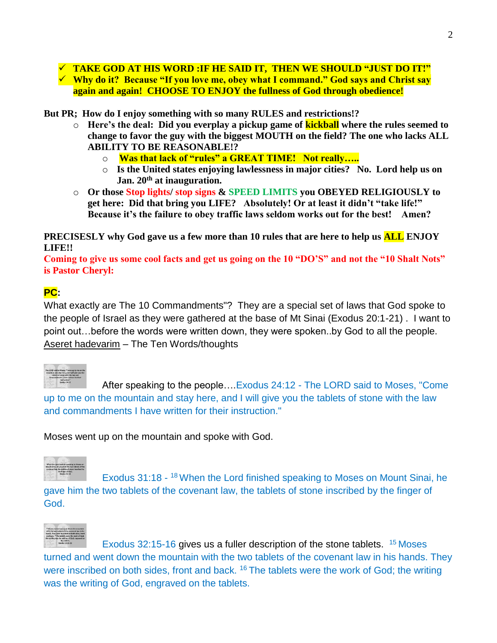**TAKE GOD AT HIS WORD :IF HE SAID IT, THEN WE SHOULD "JUST DO IT!" Why do it? Because "If you love me, obey what I command." God says and Christ say again and again! CHOOSE TO ENJOY the fullness of God through obedience!** 

**But PR; How do I enjoy something with so many RULES and restrictions!?** 

- o **Here's the deal: Did you everplay a pickup game of kickball where the rules seemed to change to favor the guy with the biggest MOUTH on the field? The one who lacks ALL ABILITY TO BE REASONABLE!?** 
	- o **Was that lack of "rules" a GREAT TIME! Not really…..**
	- o **Is the United states enjoying lawlessness in major cities? No. Lord help us on Jan. 20th at inauguration.**
- o **Or those Stop lights/ stop signs & SPEED LIMITS you OBEYED RELIGIOUSLY to get here: Did that bring you LIFE? Absolutely! Or at least it didn't "take life!" Because it's the failure to obey traffic laws seldom works out for the best! Amen?**

**PRECISESLY why God gave us a few more than 10 rules that are here to help us ALL ENJOY LIFE!!** 

**Coming to give us some cool facts and get us going on the 10 "DO'S" and not the "10 Shalt Nots" is Pastor Cheryl:** 

## **PC:**

What exactly are The 10 Commandments"? They are a special set of laws that God spoke to the people of Israel as they were gathered at the base of Mt Sinai (Exodus 20:1-21) . I want to point out…before the words were written down, they were spoken..by God to all the people. Aseret hadevarim – The Ten Words/thoughts

After speaking to the people….Exodus 24:12 - The LORD said to Moses, "Come up to me on the mountain and stay here, and I will give you the tablets of stone with the law and commandments I have written for their instruction."

Moses went up on the mountain and spoke with God.



Exodus 31:18 - <sup>18</sup> When the Lord finished speaking to Moses on Mount Sinai, he gave him the two tablets of the covenant law, the tablets of stone inscribed by the finger of God.



Exodus 32:15-16 gives us a fuller description of the stone tablets. <sup>15</sup> Moses turned and went down the mountain with the two tablets of the covenant law in his hands. They were inscribed on both sides, front and back. <sup>16</sup> The tablets were the work of God; the writing was the writing of God, engraved on the tablets.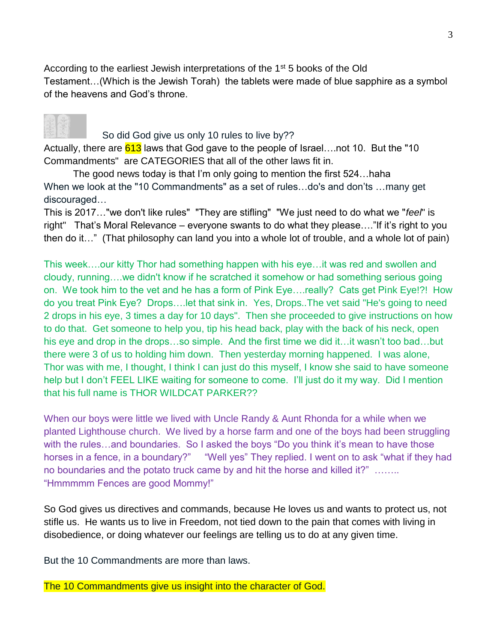According to the earliest Jewish interpretations of the  $1<sup>st</sup> 5$  books of the Old Testament…(Which is the Jewish Torah) the tablets were made of blue sapphire as a symbol of the heavens and God's throne.

# So did God give us only 10 rules to live by??

Actually, there are 613 laws that God gave to the people of Israel....not 10. But the "10 Commandments" are CATEGORIES that all of the other laws fit in.

The good news today is that I'm only going to mention the first 524…haha When we look at the "10 Commandments" as a set of rules…do's and don'ts …many get discouraged…

This is 2017…"we don't like rules" "They are stifling" "We just need to do what we "*feel*" is right" That's Moral Relevance – everyone swants to do what they please…."If it's right to you then do it…" (That philosophy can land you into a whole lot of trouble, and a whole lot of pain)

This week….our kitty Thor had something happen with his eye…it was red and swollen and cloudy, running….we didn't know if he scratched it somehow or had something serious going on. We took him to the vet and he has a form of Pink Eye….really? Cats get Pink Eye!?! How do you treat Pink Eye? Drops….let that sink in. Yes, Drops..The vet said "He's going to need 2 drops in his eye, 3 times a day for 10 days". Then she proceeded to give instructions on how to do that. Get someone to help you, tip his head back, play with the back of his neck, open his eye and drop in the drops…so simple. And the first time we did it…it wasn't too bad…but there were 3 of us to holding him down. Then yesterday morning happened. I was alone, Thor was with me, I thought, I think I can just do this myself, I know she said to have someone help but I don't FEEL LIKE waiting for someone to come. I'll just do it my way. Did I mention that his full name is THOR WILDCAT PARKER??

When our boys were little we lived with Uncle Randy & Aunt Rhonda for a while when we planted Lighthouse church. We lived by a horse farm and one of the boys had been struggling with the rules...and boundaries. So I asked the boys "Do you think it's mean to have those horses in a fence, in a boundary?" "Well yes" They replied. I went on to ask "what if they had no boundaries and the potato truck came by and hit the horse and killed it?" …….. "Hmmmmm Fences are good Mommy!"

So God gives us directives and commands, because He loves us and wants to protect us, not stifle us. He wants us to live in Freedom, not tied down to the pain that comes with living in disobedience, or doing whatever our feelings are telling us to do at any given time.

But the 10 Commandments are more than laws.

The 10 Commandments give us insight into the character of God.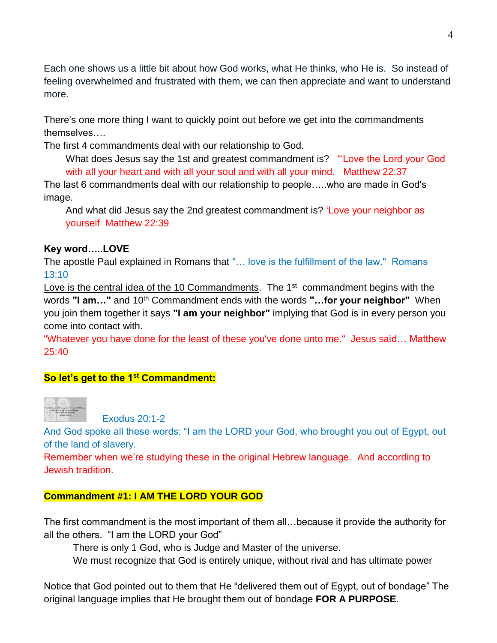Each one shows us a little bit about how God works, what He thinks, who He is. So instead of feeling overwhelmed and frustrated with them, we can then appreciate and want to understand more.

There's one more thing I want to quickly point out before we get into the commandments themselves….

The first 4 commandments deal with our relationship to God.

What does Jesus say the 1st and greatest commandment is? "'Love the Lord your God with all your heart and with all your soul and with all your mind. Matthew 22:37

The last 6 commandments deal with our relationship to people…..who are made in God's image.

And what did Jesus say the 2nd greatest commandment is? 'Love your neighbor as yourself Matthew 22:39

### **Key word…..LOVE**

The apostle Paul explained in Romans that "… love is the fulfillment of the law." Romans 13:10

Love is the central idea of the 10 Commandments. The 1<sup>st</sup> commandment begins with the words **"I am..."** and 10<sup>th</sup> Commandment ends with the words **"...for your neighbor"** When you join them together it says **"I am your neighbor"** implying that God is in every person you come into contact with.

"Whatever you have done for the least of these you've done unto me." Jesus said… Matthew 25:40

## **So let's get to the 1st Commandment:**



Exodus 20:1-2

And God spoke all these words: "I am the LORD your God, who brought you out of Egypt, out of the land of slavery.

Remember when we're studying these in the original Hebrew language. And according to Jewish tradition.

#### **Commandment #1: I AM THE LORD YOUR GOD**

The first commandment is the most important of them all…because it provide the authority for all the others. "I am the LORD your God"

There is only 1 God, who is Judge and Master of the universe.

We must recognize that God is entirely unique, without rival and has ultimate power

Notice that God pointed out to them that He "delivered them out of Egypt, out of bondage" The original language implies that He brought them out of bondage **FOR A PURPOSE**.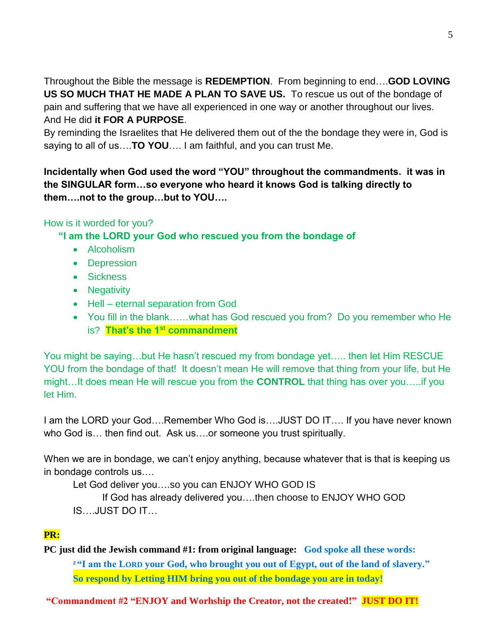Throughout the Bible the message is **REDEMPTION**. From beginning to end….**GOD LOVING US SO MUCH THAT HE MADE A PLAN TO SAVE US.** To rescue us out of the bondage of pain and suffering that we have all experienced in one way or another throughout our lives. And He did **it FOR A PURPOSE**.

By reminding the Israelites that He delivered them out of the the bondage they were in, God is saying to all of us….**TO YOU**…. I am faithful, and you can trust Me.

# **Incidentally when God used the word "YOU" throughout the commandments. it was in the SINGULAR form…so everyone who heard it knows God is talking directly to them….not to the group…but to YOU….**

# How is it worded for you?

**"I am the LORD your God who rescued you from the bondage of**

- Alcoholism
- Depression
- **•** Sickness
- Negativity
- Hell eternal separation from God
- You fill in the blank……what has God rescued you from? Do you remember who He is? **That's the 1st commandment**

You might be saying…but He hasn't rescued my from bondage yet….. then let Him RESCUE YOU from the bondage of that! It doesn't mean He will remove that thing from your life, but He might…It does mean He will rescue you from the **CONTROL** that thing has over you…..if you let Him.

I am the LORD your God….Remember Who God is….JUST DO IT…. If you have never known who God is… then find out. Ask us….or someone you trust spiritually.

When we are in bondage, we can't enjoy anything, because whatever that is that is keeping us in bondage controls us….

Let God deliver you….so you can ENJOY WHO GOD IS

If God has already delivered you….then choose to ENJOY WHO GOD IS….JUST DO IT…

## **PR:**

**PC just did the Jewish command #1: from original language: God spoke all these words: <sup>2</sup> "I am the LORD your God, who brought you out of Egypt, out of the land of slavery." So respond by Letting HIM bring you out of the bondage you are in today!** 

**"Commandment #2 "ENJOY and Worhship the Creator, not the created!" JUST DO IT!**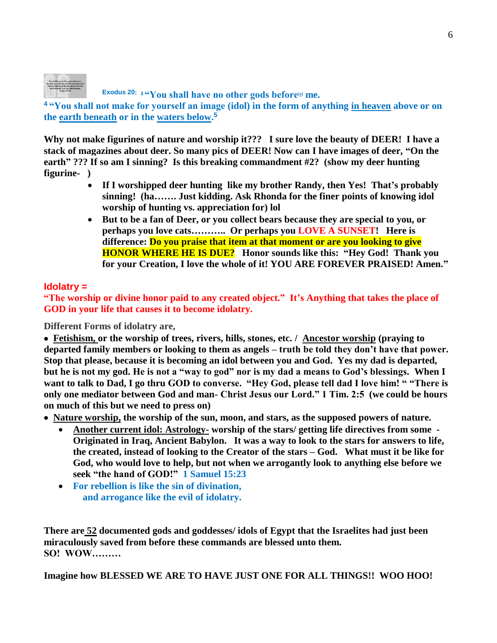

**Exodus 20: <sup>3</sup> "You shall have no other gods before[\[a\]](https://www.biblegateway.com/passage/?search=exodus+20%3A2-5&version=NIV#fen-NIV-2055a) me.** 

**<sup>4</sup> "You shall not make for yourself an image (idol) in the form of anything in heaven above or on the earth beneath or in the waters below. 5**

**Why not make figurines of nature and worship it??? I sure love the beauty of DEER! I have a stack of magazines about deer. So many pics of DEER! Now can I have images of deer, "On the earth" ??? If so am I sinning? Is this breaking commandment #2? (show my deer hunting figurine- )** 

- **If I worshipped deer hunting like my brother Randy, then Yes! That's probably sinning! (ha……. Just kidding. Ask Rhonda for the finer points of knowing idol worship of hunting vs. appreciation for) lol**
- **But to be a fan of Deer, or you collect bears because they are special to you, or perhaps you love cats……….. Or perhaps you LOVE A SUNSET! Here is difference: Do you praise that item at that moment or are you looking to give HONOR WHERE HE IS DUE? Honor sounds like this: "Hey God! Thank you for your Creation, I love the whole of it! YOU ARE FOREVER PRAISED! Amen."**

### **Idolatry =**

**"The worship or divine honor paid to any created object." It's Anything that takes the place of GOD in your life that causes it to become idolatry.** 

**Different Forms of idolatry are,**

 **Fetishism, or the worship of trees, rivers, hills, stones, etc. / Ancestor worship (praying to departed family members or looking to them as angels – truth be told they don't have that power. Stop that please, because it is becoming an idol between you and God. Yes my dad is departed, but he is not my god. He is not a "way to god" nor is my dad a means to God's blessings. When I want to talk to Dad, I go thru GOD to converse. "Hey God, please tell dad I love him! " "There is only one mediator between God and man- Christ Jesus our Lord." 1 Tim. 2:5 (we could be hours on much of this but we need to press on)** 

 **Nature worship, the worship of the sun, moon, and stars, as the supposed powers of nature.**

- **Another current idol: Astrology- worship of the stars/ getting life directives from some Originated in Iraq, Ancient Babylon. It was a way to look to the stars for answers to life, the created, instead of looking to the Creator of the stars – God. What must it be like for God, who would love to help, but not when we arrogantly look to anything else before we seek "the hand of GOD!" 1 Samuel 15:23**
- **For rebellion is like the sin of divination, and arrogance like the evil of idolatry.**

**There are 52 documented gods and goddesses/ idols of Egypt that the Israelites had just been miraculously saved from before these commands are blessed unto them. SO! WOW………** 

**Imagine how BLESSED WE ARE TO HAVE JUST ONE FOR ALL THINGS!! WOO HOO!**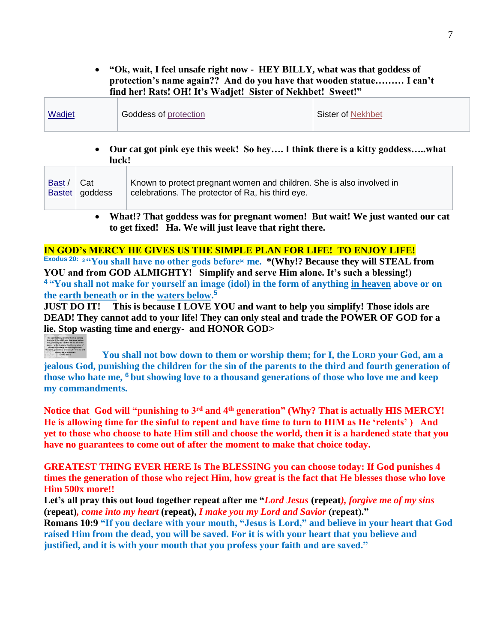**"Ok, wait, I feel unsafe right now - HEY BILLY, what was that goddess of protection's name again?? And do you have that wooden statue……… I can't find her! Rats! OH! It's Wadjet! Sister of Nekhbet! Sweet!"**

| Wadjet<br>Goddess of protection | Sister of Nekhbet |
|---------------------------------|-------------------|
|---------------------------------|-------------------|

#### **Our cat got pink eye this week! So hey…. I think there is a kitty goddess…..what luck!**

| Bast                                                                         | Cat<br>Bastet   goddess | Known to protect pregnant women and children. She is also involved in<br>celebrations. The protector of Ra, his third eye. |  |
|------------------------------------------------------------------------------|-------------------------|----------------------------------------------------------------------------------------------------------------------------|--|
| What!? That goddess was for pregnant women! But wait! We just wanted our cat |                         |                                                                                                                            |  |

**to get fixed! Ha. We will just leave that right there.** 

### **IN GOD's MERCY HE GIVES US THE SIMPLE PLAN FOR LIFE! TO ENJOY LIFE!**

**Exodus 20: <sup>3</sup> "You shall have no other gods before[\[a\]](https://www.biblegateway.com/passage/?search=exodus+20%3A2-5&version=NIV#fen-NIV-2055a) me. \*(Why!? Because they will STEAL from YOU and from GOD ALMIGHTY! Simplify and serve Him alone. It's such a blessing!) <sup>4</sup> "You shall not make for yourself an image (idol) in the form of anything in heaven above or on the earth beneath or in the waters below. 5** 

**JUST DO IT! This is because I LOVE YOU and want to help you simplify! Those idols are DEAD! They cannot add to your life! They can only steal and trade the POWER OF GOD for a lie. Stop wasting time and energy- and HONOR GOD>** 

**You shall not bow down to them or worship them; for I, the LORD your God, am a jealous God, punishing the children for the sin of the parents to the third and fourth generation of those who hate me, <sup>6</sup> but showing love to a thousand generations of those who love me and keep my commandments.**

**Notice that God will "punishing to 3rd and 4th generation" (Why? That is actually HIS MERCY! He is allowing time for the sinful to repent and have time to turn to HIM as He 'relents' ) And yet to those who choose to hate Him still and choose the world, then it is a hardened state that you have no guarantees to come out of after the moment to make that choice today.** 

**GREATEST THING EVER HERE Is The BLESSING you can choose today: If God punishes 4 times the generation of those who reject Him, how great is the fact that He blesses those who love Him 500x more!!** 

**Let's all pray this out loud together repeat after me "***Lord Jesus* **(repeat***), forgive me of my sins*  **(repeat)***, come into my heart* **(repeat),** *I make you my Lord and Savior* **(repeat)." Romans 10:9 "If you declare with your mouth, "Jesus is Lord," and believe in your heart that God raised Him from the dead, you will be saved. For it is with your heart that you believe and justified, and it is with your mouth that you profess your faith and are saved."**